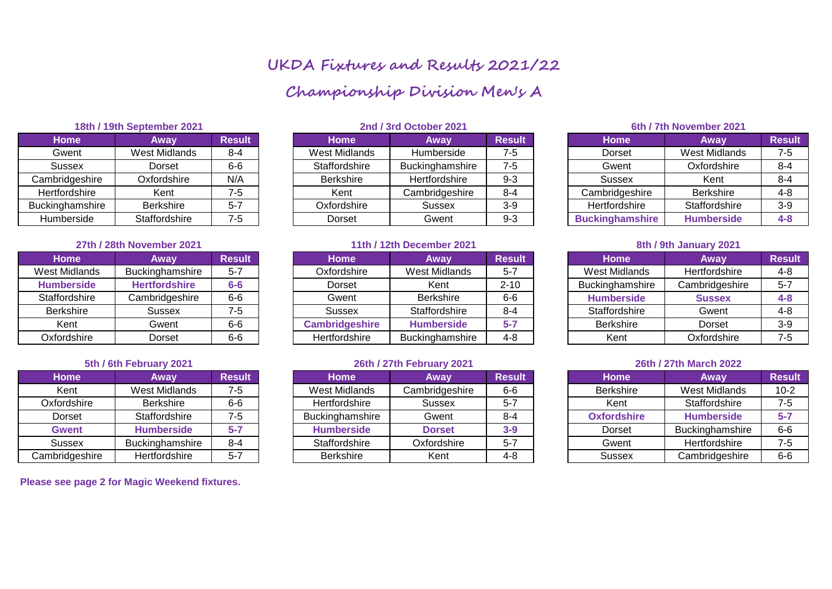# **UKDA Fixtures and Results 2021/22 Championship Division Men's A**

| Away                 | <b>Result</b> |
|----------------------|---------------|
| <b>West Midlands</b> | $8 - 4$       |
| Dorset               | $6-6$         |
| Oxfordshire          | N/A           |
| Kent                 | $7 - 5$       |
| <b>Berkshire</b>     | $5 - 7$       |
| Staffordshire        | $7 - 5$       |
|                      |               |

# **27th / 28th November 2021 11th / 12th December 2021 8th / 9th January 2021**

| <b>Home</b>          | Away                 | <b>Result</b> |
|----------------------|----------------------|---------------|
| <b>West Midlands</b> | Buckinghamshire      | $5 - 7$       |
| <b>Humberside</b>    | <b>Hertfordshire</b> | $6-6$         |
| Staffordshire        | Cambridgeshire       | $6-6$         |
| <b>Berkshire</b>     | <b>Sussex</b>        | $7 - 5$       |
| Kent                 | Gwent                | $6-6$         |
| Oxfordshire          | Dorset               | 6-6           |

| <b>Home</b>    | Away                 | <b>Result</b> |
|----------------|----------------------|---------------|
| Kent           | <b>West Midlands</b> | $7 - 5$       |
| Oxfordshire    | <b>Berkshire</b>     | $6-6$         |
| Dorset         | Staffordshire        | $7 - 5$       |
| <b>Gwent</b>   | <b>Humberside</b>    | $5 - 7$       |
| <b>Sussex</b>  | Buckinghamshire      | $8 - 4$       |
| Cambridgeshire | Hertfordshire        | $5 - 7$       |

**Please see page 2 for Magic Weekend fixtures.** 

| 18th / 19th September 2021 |               |               | 2nd / 3rd October 2021 |                 |               |  | 6th / 7th November 2021 |                      |               |  |
|----------------------------|---------------|---------------|------------------------|-----------------|---------------|--|-------------------------|----------------------|---------------|--|
| <b>Home</b>                | Away          | <b>Result</b> | <b>Home</b>            | Away            | <b>Result</b> |  | <b>Home</b>             | Away                 | <b>Result</b> |  |
| Gwent                      | West Midlands | $8 - 4$       | West Midlands          | Humberside      | $7 - 5$       |  | Dorset                  | <b>West Midlands</b> | 7-5           |  |
| Sussex                     | Dorset        | $6-6$         | Staffordshire          | Buckinghamshire | $7 - 5$       |  | Gwent                   | Oxfordshire          | $8 - 4$       |  |
| Cambridgeshire             | Oxfordshire   | N/A           | <b>Berkshire</b>       | Hertfordshire   | $9 - 3$       |  | Sussex                  | Kent                 | $8 - 4$       |  |
| Hertfordshire              | Kent          | 7-5           | Kent                   | Cambridgeshire  | $8 - 4$       |  | Cambridgeshire          | <b>Berkshire</b>     | $4 - 8$       |  |
| Buckinghamshire            | Berkshire     | $5 - 7$       | Oxfordshire            | Sussex          | $3-9$         |  | Hertfordshire           | Staffordshire        | $3-9$         |  |
| Humberside                 | Staffordshire | $7-5$         | Dorset                 | Gwent           | $9 - 3$       |  | <b>Buckinghamshire</b>  | <b>Humberside</b>    | $4 - 8$       |  |

| Away                 | <b>Result</b> | <b>Home</b>           | Away                   | <b>Result</b> | <b>Home</b>            | Away           | <b>Result</b> |
|----------------------|---------------|-----------------------|------------------------|---------------|------------------------|----------------|---------------|
| Buckinghamshire      | $5 - 7$       | Oxfordshire           | West Midlands          | $5 - 7$       | West Midlands          | Hertfordshire  | $4 - 8$       |
| <b>Hertfordshire</b> | $6-6$         | Dorset                | Kent                   | $2 - 10$      | <b>Buckinghamshire</b> | Cambridgeshire | $5 - 7$       |
| Cambridgeshire       | $6-6$         | Gwent                 | <b>Berkshire</b>       | $6-6$         | <b>Humberside</b>      | <b>Sussex</b>  | $4 - 8$       |
| Sussex               | $7 - 5$       | Sussex                | Staffordshire          | $8 - 4$       | Staffordshire          | Gwent          | $4 - 8$       |
| Gwent                | $6-6$         | <b>Cambridgeshire</b> | <b>Humberside</b>      | $5 - 7$       | <b>Berkshire</b>       | Dorset         | $3-9$         |
| Dorset               | $6-6$         | Hertfordshire         | <b>Buckinghamshire</b> | $4 - 8$       | Kent                   | Oxfordshire    | 7-5           |
|                      |               |                       |                        |               |                        |                |               |

# **5th / 6th February 2021 26th / 27th February 2021 26th / 27th March 2022**

| Home           | Away              | <b>Result</b> | <b>Home</b>       | Away           | <b>Result</b> | <b>Home</b>        | Away              | <b>Result</b> |
|----------------|-------------------|---------------|-------------------|----------------|---------------|--------------------|-------------------|---------------|
| Kent           | West Midlands     | $7 - 5$       | West Midlands     | Cambridgeshire | $6-6$         | <b>Berkshire</b>   | West Midlands     | $10-2$        |
| Oxfordshire    | Berkshire         | $6-6$         | Hertfordshire     | Sussex         | $5 - 7$       | Kent               | Staffordshire     | 7-5           |
| Dorset         | Staffordshire     | $7 - 5$       | Buckinghamshire   | Gwent          | $8 - 4$       | <b>Oxfordshire</b> | <b>Humberside</b> | $5 - 7$       |
| Gwent          | <b>Humberside</b> | $5 - 7$       | <b>Humberside</b> | <b>Dorset</b>  | $3-9$         | <b>Dorset</b>      | Buckinghamshire   | $6-6$         |
| Sussex         | Buckinghamshire   | $8 - 4$       | Staffordshire     | Oxfordshire    | $5 - 7$       | Gwent              | Hertfordshire     | 7-5           |
| Cambridgeshire | Hertfordshire     | $5 - 7$       | Berkshire         | Kent           | 4-8           | Sussex             | Cambridgeshire    | $6-6$         |

# **Buckinghamshire Humberside** 4-8

| <b>Home</b>          | Away           | <b>Result</b> |
|----------------------|----------------|---------------|
| <b>West Midlands</b> | Hertfordshire  | 4-8           |
| Buckinghamshire      | Cambridgeshire | $5 - 7$       |
| <b>Humberside</b>    | <b>Sussex</b>  | $4 - 8$       |
| Staffordshire        | Gwent          | $4 - 8$       |
| <b>Berkshire</b>     | Dorset         | $3-9$         |
| Kent                 | Oxfordshire    | $7 - 5$       |

| <b>Home</b>        | Away                 | <b>Result</b> |
|--------------------|----------------------|---------------|
| <b>Berkshire</b>   | <b>West Midlands</b> | $10-2$        |
| Kent               | Staffordshire        | $7-5$         |
| <b>Oxfordshire</b> | <b>Humberside</b>    | $5 - 7$       |
| Dorset             | Buckinghamshire      | $6-6$         |
| Gwent              | Hertfordshire        | $7 - 5$       |
| <b>Sussex</b>      | Cambridgeshire       | 6-6           |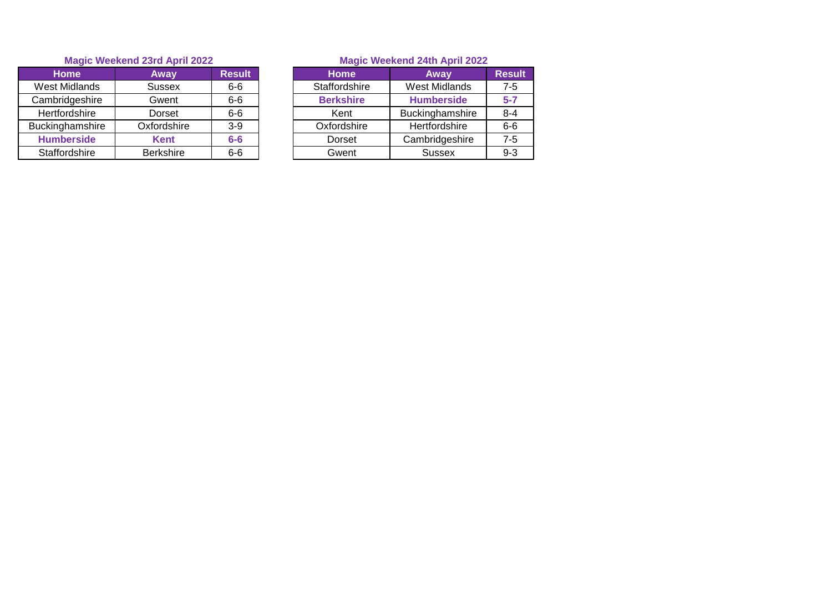| <b>Home</b>       | Away             | <b>Result</b> | <b>Home</b>      | Away              | Resu    |
|-------------------|------------------|---------------|------------------|-------------------|---------|
| West Midlands     | <b>Sussex</b>    | $6-6$         | Staffordshire    | West Midlands     | 7-5     |
| Cambridgeshire    | Gwent            | $6-6$         | <b>Berkshire</b> | <b>Humberside</b> | $5 - 7$ |
| Hertfordshire     | Dorset           | $6-6$         | Kent             | Buckinghamshire   | $8 - 4$ |
| Buckinghamshire   | Oxfordshire      | $3-9$         | Oxfordshire      | Hertfordshire     | $6-6$   |
| <b>Humberside</b> | <b>Kent</b>      | $6-6$         | <b>Dorset</b>    | Cambridgeshire    | 7-5     |
| Staffordshire     | <b>Berkshire</b> | $6-6$         | Gwent            | <b>Sussex</b>     | $9 - 3$ |

| <b>Home</b> | Away             | <b>Result</b> | <b>Home</b>      | Away                 | <b>Result</b> |
|-------------|------------------|---------------|------------------|----------------------|---------------|
| t Midlands  | <b>Sussex</b>    | $6-6$         | Staffordshire    | <b>West Midlands</b> | 7-5           |
| bridgeshire | Gwent            | $6-6$         | <b>Berkshire</b> | <b>Humberside</b>    | $5 - 7$       |
| tfordshire  | Dorset           | $6-6$         | Kent             | Buckinghamshire      | $8 - 4$       |
| nghamshire  | Oxfordshire      | $3-9$         | Oxfordshire      | Hertfordshire        | $6-6$         |
| mberside    | <b>Kent</b>      | $6-6$         | <b>Dorset</b>    | Cambridgeshire       | 7-5           |
| ffordshire  | <b>Berkshire</b> | $6-6$         | Gwent            | Sussex               | $9 - 3$       |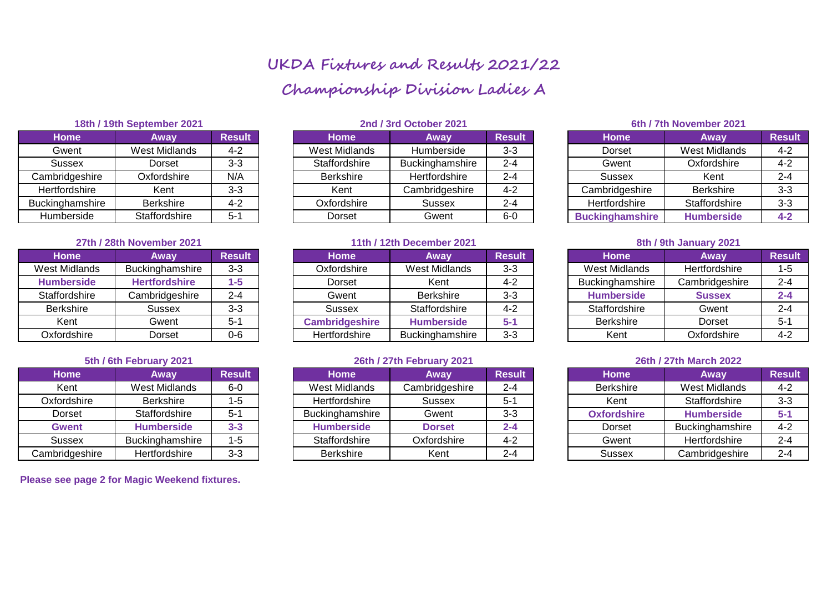# **UKDA Fixtures and Results 2021/22 Championship Division Ladies A**

| Away                 | <b>Result</b> |
|----------------------|---------------|
| <b>West Midlands</b> | $4 - 2$       |
| Dorset               | $3-3$         |
| Oxfordshire          | N/A           |
| Kent                 | $3 - 3$       |
| <b>Berkshire</b>     | $4 - 2$       |
| Staffordshire        | $5 - 1$       |
|                      |               |

# **27th / 28th November 2021 11th / 12th December 2021 8th / 9th January 2021**

| <b>Home</b>          | Away                 | <b>Result</b> |
|----------------------|----------------------|---------------|
| <b>West Midlands</b> | Buckinghamshire      | $3 - 3$       |
| <b>Humberside</b>    | <b>Hertfordshire</b> | $1 - 5$       |
| Staffordshire        | Cambridgeshire       | $2 - 4$       |
| <b>Berkshire</b>     | <b>Sussex</b>        | $3-3$         |
| Kent                 | Gwent                | $5 - 1$       |
| Oxfordshire          | Dorset               | በ-6           |

| <b>Home</b>    | Away                 | <b>Result</b> |
|----------------|----------------------|---------------|
| Kent           | <b>West Midlands</b> | $6-0$         |
| Oxfordshire    | <b>Berkshire</b>     | $1 - 5$       |
| Dorset         | Staffordshire        | $5 - 1$       |
| <b>Gwent</b>   | <b>Humberside</b>    | $3 - 3$       |
| <b>Sussex</b>  | Buckinghamshire      | $1 - 5$       |
| Cambridgeshire | Hertfordshire        | $3 - 3$       |

**Please see page 2 for Magic Weekend fixtures.** 

| 18th / 19th September 2021 |               |               | 2nd / 3rd October 2021 |                 |               |  | 6th / 7th November 2021 |                      |               |  |
|----------------------------|---------------|---------------|------------------------|-----------------|---------------|--|-------------------------|----------------------|---------------|--|
| <b>Home</b>                | Away          | <b>Result</b> | <b>Home</b>            | Away            | <b>Result</b> |  | <b>Home</b>             | Away                 | <b>Result</b> |  |
| Gwent                      | West Midlands | $4 - 2$       | West Midlands          | Humberside      | $3 - 3$       |  | Dorset                  | <b>West Midlands</b> | $4 - 2$       |  |
| Sussex                     | Dorset        | $3 - 3$       | Staffordshire          | Buckinghamshire | $2 - 4$       |  | Gwent                   | Oxfordshire          | $4 - 2$       |  |
| Cambridgeshire             | Oxfordshire   | N/A           | <b>Berkshire</b>       | Hertfordshire   | $2 - 4$       |  | Sussex                  | Kent                 | $2 - 4$       |  |
| Hertfordshire              | Kent          | $3 - 3$       | Kent                   | Cambridgeshire  | $4 - 2$       |  | Cambridgeshire          | <b>Berkshire</b>     | $3 - 3$       |  |
| Buckinghamshire            | Berkshire     | $4 - 2$       | Oxfordshire            | Sussex          | $2 - 4$       |  | Hertfordshire           | Staffordshire        | $3 - 3$       |  |
| Humberside                 | Staffordshire | $5-1$         | Dorset                 | Gwent           | $6-0$         |  | <b>Buckinghamshire</b>  | <b>Humberside</b>    | $4 - 2$       |  |

| <b>Home</b>       | Awav                 | <b>Result</b> | <b>Home</b>           | <b>Away</b>            | <b>Result</b> | <b>Home</b>            | Away           | <b>Result</b> |
|-------------------|----------------------|---------------|-----------------------|------------------------|---------------|------------------------|----------------|---------------|
| West Midlands     | Buckinghamshire      | $3 - 3$       | Oxfordshire           | West Midlands          | $3 - 3$       | West Midlands          | Hertfordshire  | 1-5           |
| <b>Humberside</b> | <b>Hertfordshire</b> | 1-5           | Dorset                | Kent                   | 4-2           | <b>Buckinghamshire</b> | Cambridgeshire | $2 - 4$       |
| Staffordshire     | Cambridgeshire       | $2 - 4$       | Gwent                 | <b>Berkshire</b>       | $3 - 3$       | <b>Humberside</b>      | <b>Sussex</b>  | $2 - 4$       |
| <b>Berkshire</b>  | Sussex               | $3 - 3$       | Sussex                | Staffordshire          | $4 - 2$       | Staffordshire          | Gwent          | 2-4           |
| Kent              | Gwent                | $5 - 1$       | <b>Cambridgeshire</b> | <b>Humberside</b>      | $5 - 1$       | <b>Berkshire</b>       | Dorset         | $5 - 1$       |
| Oxfordshire       | Dorset               | $0-6$         | Hertfordshire         | <b>Buckinghamshire</b> | $3 - 3$       | Kent                   | Oxfordshire    | 4-2           |

# **5th / 6th February 2021 26th / 27th February 2021 26th / 27th March 2022**

| Home           | Away                 | <b>Result</b> | <b>Home</b>       | Away           | <b>Result</b> | <b>Home</b>        | Away                   | <b>Result</b> |
|----------------|----------------------|---------------|-------------------|----------------|---------------|--------------------|------------------------|---------------|
| Kent           | West Midlands        | $6-0$         | West Midlands     | Cambridgeshire | $2 - 4$       | <b>Berkshire</b>   | West Midlands          | 4-2           |
| Oxfordshire    | <b>Berkshire</b>     | $1 - 5$       | Hertfordshire     | Sussex         | $5 - 1$       | Kent               | Staffordshire          | $3 - 3$       |
| Dorset         | <b>Staffordshire</b> | $5 - 1$       | Buckinghamshire   | Gwent          | $3 - 3$       | <b>Oxfordshire</b> | <b>Humberside</b>      | $5 - 1$       |
| <b>Gwent</b>   | <b>Humberside</b>    | $3 - 3$       | <b>Humberside</b> | <b>Dorset</b>  | $2 - 4$       | Dorset             | <b>Buckinghamshire</b> | $4 - 2$       |
| Sussex         | Buckinghamshire      | $1 - 5$       | Staffordshire     | Oxfordshire    | $4 - 2$       | Gwent              | Hertfordshire          | $2 - 4$       |
| Cambridgeshire | Hertfordshire        | $3 - 3$       | <b>Berkshire</b>  | Kent           | $2 - 4$       | Sussex             | Cambridgeshire         | $2 - 4$       |

# Humberside Staffordshire 5-1 Dorset Gwent 6-0 **Buckinghamshire Humberside 4-2**

| <b>Home</b>          | Away           | <b>Result</b> |
|----------------------|----------------|---------------|
| <b>West Midlands</b> | Hertfordshire  | $1 - 5$       |
| Buckinghamshire      | Cambridgeshire | $2 - 4$       |
| <b>Humberside</b>    | <b>Sussex</b>  | $2 - 4$       |
| Staffordshire        | Gwent          | $2 - 4$       |
| <b>Berkshire</b>     | Dorset         | $5 - 1$       |
| Kent                 | Oxfordshire    | $4-2$         |

| <b>Home</b>        | Away                 | <b>Result</b> |
|--------------------|----------------------|---------------|
| <b>Berkshire</b>   | <b>West Midlands</b> | $4 - 2$       |
| Kent               | Staffordshire        | $3 - 3$       |
| <b>Oxfordshire</b> | <b>Humberside</b>    | $5 - 1$       |
| <b>Dorset</b>      | Buckinghamshire      | $4 - 2$       |
| Gwent              | Hertfordshire        | $2 - 4$       |
| <b>Sussex</b>      | Cambridgeshire       | $2 - 4$       |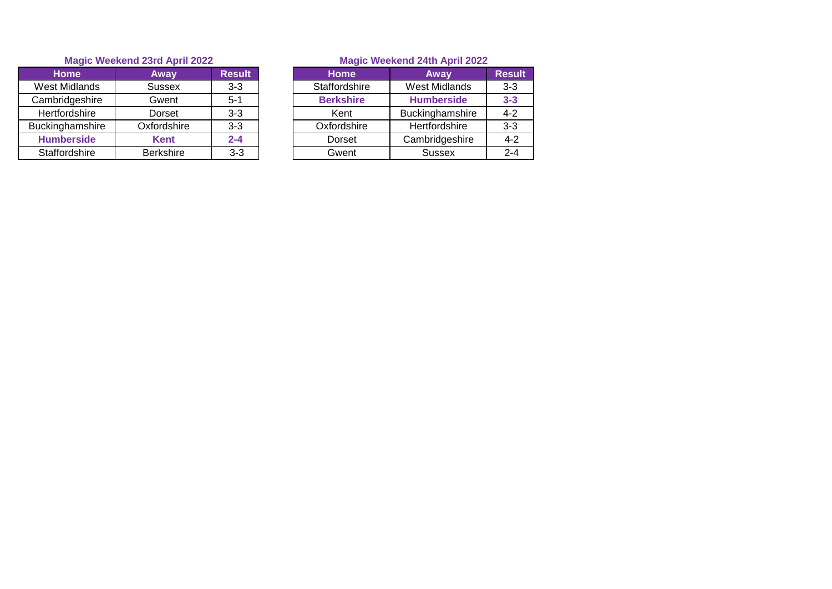| <b>Home</b>       | Away             | <b>Result</b> | <b>Home</b>      | Away              | <b>Resu</b> |
|-------------------|------------------|---------------|------------------|-------------------|-------------|
| West Midlands     | <b>Sussex</b>    | $3 - 3$       | Staffordshire    | West Midlands     | $3 - 3$     |
| Cambridgeshire    | Gwent            | $5 - 1$       | <b>Berkshire</b> | <b>Humberside</b> | $3 - 3$     |
| Hertfordshire     | Dorset           | $3 - 3$       | Kent             | Buckinghamshire   | $4 - 2$     |
| Buckinghamshire   | Oxfordshire      | $3 - 3$       | Oxfordshire      | Hertfordshire     | $3 - 3$     |
| <b>Humberside</b> | <b>Kent</b>      | $2 - 4$       | Dorset           | Cambridgeshire    | $4 - 2$     |
| Staffordshire     | <b>Berkshire</b> | $3 - 3$       | Gwent            | <b>Sussex</b>     | $2 - 4$     |

| <b>Home</b>           | Away             | <b>Result</b> | <b>Home</b>      | Away              | <b>Result</b> |
|-----------------------|------------------|---------------|------------------|-------------------|---------------|
| Vest Midlands         | <b>Sussex</b>    | $3 - 3$       | Staffordshire    | West Midlands     | $3 - 3$       |
| ambridgeshire         | Gwent            | $5 - 1$       | <b>Berkshire</b> | <b>Humberside</b> | $3 - 3$       |
| Hertfordshire         | Dorset           | $3-3$         | Kent             | Buckinghamshire   | $4 - 2$       |
| <b>uckinghamshire</b> | Oxfordshire      | $3-3$         | Oxfordshire      | Hertfordshire     | $3 - 3$       |
| <b>Humberside</b>     | <b>Kent</b>      | $2 - 4$       | Dorset           | Cambridgeshire    | $4 - 2$       |
| Staffordshire         | <b>Berkshire</b> | $3-3$         | Gwent            | <b>Sussex</b>     | $2 - 4$       |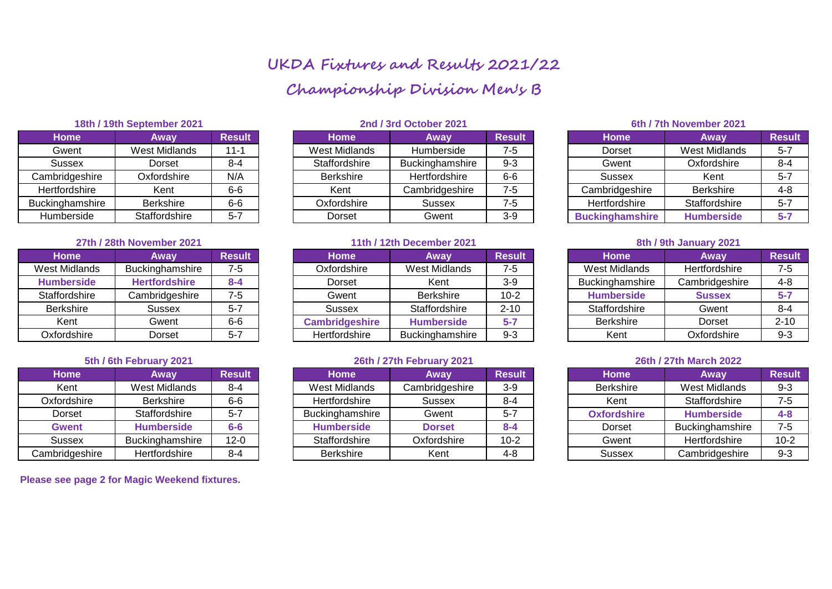# **UKDA Fixtures and Results 2021/22 Championship Division Men's B**

| Away                 | <b>Result</b> |
|----------------------|---------------|
| <b>West Midlands</b> | $11 - 1$      |
| Dorset               | $8 - 4$       |
| Oxfordshire          | N/A           |
| Kent                 | $6-6$         |
| <b>Berkshire</b>     | $6 - 6$       |
| Staffordshire        | $5 - 7$       |
|                      |               |

# **27th / 28th November 2021 11th / 12th December 2021 8th / 9th January 2021**

| <b>Home</b>          | Away                 | <b>Result</b> |
|----------------------|----------------------|---------------|
| <b>West Midlands</b> | Buckinghamshire      | $7 - 5$       |
| <b>Humberside</b>    | <b>Hertfordshire</b> | $8 - 4$       |
| Staffordshire        | Cambridgeshire       | $7 - 5$       |
| <b>Berkshire</b>     | <b>Sussex</b>        | $5 - 7$       |
| Kent                 | Gwent                | $6-6$         |
| Oxfordshire          | Dorset               | $5 - 7$       |

| <b>Home</b>    | Away                 | <b>Result</b> |
|----------------|----------------------|---------------|
| Kent           | <b>West Midlands</b> | $8 - 4$       |
| Oxfordshire    | <b>Berkshire</b>     | $6-6$         |
| Dorset         | Staffordshire        | $5 - 7$       |
| <b>Gwent</b>   | <b>Humberside</b>    | $6-6$         |
| <b>Sussex</b>  | Buckinghamshire      | $12 - 0$      |
| Cambridgeshire | Hertfordshire        | $8 - 4$       |

**Please see page 2 for Magic Weekend fixtures.** 

| 18th / 19th September 2021 |               |               | 2nd / 3rd October 2021 |                 |               |  | 6th / 7th November 2021 |                      |               |  |
|----------------------------|---------------|---------------|------------------------|-----------------|---------------|--|-------------------------|----------------------|---------------|--|
| Home                       | Away          | <b>Result</b> | <b>Home</b>            | Away            | <b>Result</b> |  | <b>Home</b>             | Away                 | <b>Result</b> |  |
| Gwent                      | West Midlands | $11 - 1$      | West Midlands          | Humberside      | $7 - 5$       |  | Dorset                  | <b>West Midlands</b> | $5 - 7$       |  |
| Sussex                     | Dorset        | $8 - 4$       | Staffordshire          | Buckinghamshire | $9 - 3$       |  | Gwent                   | Oxfordshire          | $8 - 4$       |  |
| Cambridgeshire             | Oxfordshire   | N/A           | <b>Berkshire</b>       | Hertfordshire   | $6-6$         |  | Sussex                  | Kent                 | $5 - 7$       |  |
| Hertfordshire              | Kent          | $6-6$         | Kent                   | Cambridgeshire  | $7 - 5$       |  | Cambridgeshire          | <b>Berkshire</b>     | $4 - 8$       |  |
| Buckinghamshire            | Berkshire     | $6-6$         | Oxfordshire            | Sussex          | $7 - 5$       |  | Hertfordshire           | Staffordshire        | $5 - 7$       |  |
| Humberside                 | Staffordshire | $5 - 7$       | Dorset                 | Gwent           | $3-9$         |  | <b>Buckinghamshire</b>  | <b>Humberside</b>    | $5 - 7$       |  |

| <b>Home</b>       | Awav                 | <b>Result</b> | <b>Home</b>    | <b>Away</b>            | <b>Result</b> | <b>Home</b>       | Away           | <b>Result</b> |
|-------------------|----------------------|---------------|----------------|------------------------|---------------|-------------------|----------------|---------------|
| West Midlands     | Buckinghamshire      | 7-5           | Oxfordshire    | West Midlands          | 7-5           | West Midlands     | Hertfordshire  | 7-5           |
| <b>Humberside</b> | <b>Hertfordshire</b> | $8 - 4$       | Dorset         | Kent                   | $3-9$         | Buckinghamshire   | Cambridgeshire | $4 - 8$       |
| Staffordshire     | Cambridgeshire       | $7 - 5$       | Gwent          | <b>Berkshire</b>       | $10-2$        | <b>Humberside</b> | <b>Sussex</b>  | $5 - 7$       |
| <b>Berkshire</b>  | Sussex               | $5 - 7$       | Sussex         | Staffordshire          | $2 - 10$      | Staffordshire     | Gwent          | $8 - 4$       |
| Kent              | Gwent                | $6-6$         | Cambridgeshire | <b>Humberside</b>      | $5 - 7$       | <b>Berkshire</b>  | Dorset         | $2 - 10$      |
| Oxfordshire       | Dorset               | $5 - 7$       | Hertfordshire  | <b>Buckinghamshire</b> | $9 - 3$       | Kent              | Oxfordshire    | $9 - 3$       |

# **5th / 6th February 2021 26th / 27th February 2021 26th / 27th March 2022**

| Home           | Away                   | <b>Result</b> | <b>Home</b>       | Away           | <b>Result</b> | <b>Home</b>        | Away                 | <b>Result</b> |
|----------------|------------------------|---------------|-------------------|----------------|---------------|--------------------|----------------------|---------------|
| Kent           | West Midlands          | $8 - 4$       | West Midlands     | Cambridgeshire | $3-9$         | <b>Berkshire</b>   | West Midlands        | $9 - 3$       |
| Oxfordshire    | <b>Berkshire</b>       | $6-6$         | Hertfordshire     | Sussex         | $8 - 4$       | Kent               | Staffordshire        | 7-5           |
| Dorset         | <b>Staffordshire</b>   | $5 - 7$       | Buckinghamshire   | Gwent          | $5 - 7$       | <b>Oxfordshire</b> | <b>Humberside</b>    | $4 - 8$       |
| <b>Gwent</b>   | <b>Humberside</b>      | $6-6$         | <b>Humberside</b> | <b>Dorset</b>  | $8 - 4$       | <b>Dorset</b>      | Buckinghamshire      | 7-5           |
| Sussex         | <b>Buckinghamshire</b> | $12 - 0$      | Staffordshire     | Oxfordshire    | $10 - 2$      | Gwent              | <b>Hertfordshire</b> | $10 - 2$      |
| Cambridgeshire | Hertfordshire          | $8 - 4$       | <b>Berkshire</b>  | Kent           | $4 - 8$       | Sussex             | Cambridgeshire       | $9 - 3$       |

# **Buckinghamshire Humberside 5-7**

| <b>Home</b>          | Away           | <b>Result</b> |
|----------------------|----------------|---------------|
| <b>West Midlands</b> | Hertfordshire  | $7 - 5$       |
| Buckinghamshire      | Cambridgeshire | $4 - 8$       |
| <b>Humberside</b>    | <b>Sussex</b>  | $5 - 7$       |
| Staffordshire        | Gwent          | $8 - 4$       |
| <b>Berkshire</b>     | Dorset         | $2 - 10$      |
| Kent                 | Oxfordshire    | $9 - 3$       |

| <b>Home</b>        | Away                 | <b>Result</b> |
|--------------------|----------------------|---------------|
| <b>Berkshire</b>   | <b>West Midlands</b> | $9 - 3$       |
| Kent               | Staffordshire        | $7 - 5$       |
| <b>Oxfordshire</b> | <b>Humberside</b>    | $4 - 8$       |
| Dorset             | Buckinghamshire      | $7 - 5$       |
| Gwent              | Hertfordshire        | $10-2$        |
| Sussex             | Cambridgeshire       | $9 - 3$       |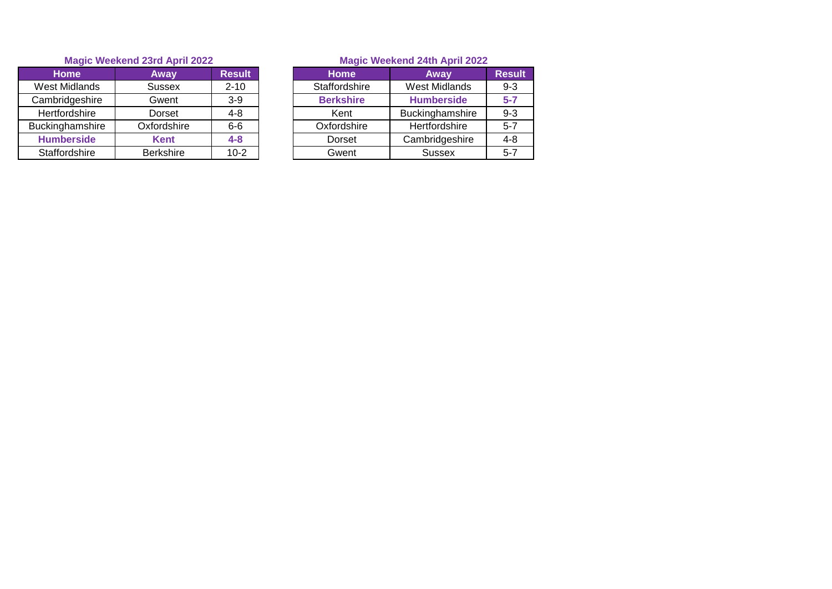| <b>Home</b>       | Away             | <b>Result</b> | <b>Home</b>      | Away              | Resu    |
|-------------------|------------------|---------------|------------------|-------------------|---------|
| West Midlands     | <b>Sussex</b>    | $2 - 10$      | Staffordshire    | West Midlands     | $9 - 3$ |
| Cambridgeshire    | Gwent            | $3-9$         | <b>Berkshire</b> | <b>Humberside</b> | $5 - 7$ |
| Hertfordshire     | Dorset           | $4 - 8$       | Kent             | Buckinghamshire   | $9 - 3$ |
| Buckinghamshire   | Oxfordshire      | $6-6$         | Oxfordshire      | Hertfordshire     | $5 - 7$ |
| <b>Humberside</b> | <b>Kent</b>      | $4 - 8$       | <b>Dorset</b>    | Cambridgeshire    | $4 - 8$ |
| Staffordshire     | <b>Berkshire</b> | $10-2$        | Gwent            | <b>Sussex</b>     | $5 - 7$ |

| <b>Home</b> | Away             | <b>Result</b> | <b>Home</b>      | Away              | <b>Result</b> |
|-------------|------------------|---------------|------------------|-------------------|---------------|
| t Midlands  | <b>Sussex</b>    | $2 - 10$      | Staffordshire    | West Midlands     | $9 - 3$       |
| bridgeshire | Gwent            | $3-9$         | <b>Berkshire</b> | <b>Humberside</b> | $5 - 7$       |
| tfordshire  | Dorset           | $4 - 8$       | Kent             | Buckinghamshire   | $9 - 3$       |
| nghamshire  | Oxfordshire      | $6-6$         | Oxfordshire      | Hertfordshire     | $5 - 7$       |
| mberside    | <b>Kent</b>      | $4 - 8$       | Dorset           | Cambridgeshire    | $4 - 8$       |
| ffordshire  | <b>Berkshire</b> | $10 - 2$      | Gwent            | <b>Sussex</b>     | $5 - 7$       |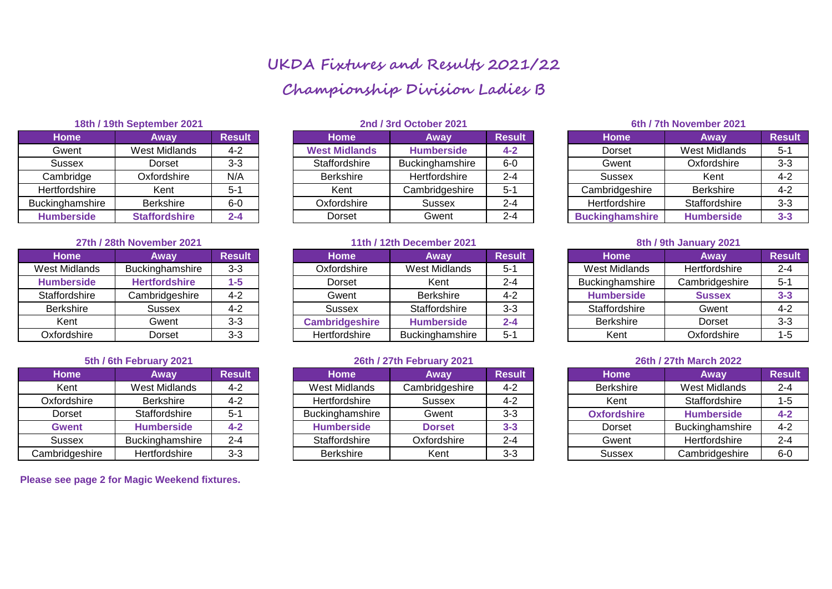# **UKDA Fixtures and Results 2021/22 Championship Division Ladies B**

| Home              | Away                 | <b>Result</b> |
|-------------------|----------------------|---------------|
| Gwent             | <b>West Midlands</b> | $4 - 2$       |
| <b>Sussex</b>     | Dorset               | $3-3$         |
| Cambridge         | Oxfordshire          | N/A           |
| Hertfordshire     | Kent                 | $5 - 1$       |
| Buckinghamshire   | <b>Berkshire</b>     | $6-0$         |
| <b>Humberside</b> | <b>Staffordshire</b> | $2 - 4$       |

# **27th / 28th November 2021 11th / 12th December 2021 8th / 9th January 2021**

| <b>Home</b>          | Away                 | <b>Result</b> |
|----------------------|----------------------|---------------|
| <b>West Midlands</b> | Buckinghamshire      | $3 - 3$       |
| <b>Humberside</b>    | <b>Hertfordshire</b> | $1 - 5$       |
| Staffordshire        | Cambridgeshire       | $4 - 2$       |
| <b>Berkshire</b>     | <b>Sussex</b>        | $4 - 2$       |
| Kent                 | Gwent                | $3-3$         |
| Oxfordshire          | Dorset               | $3 - 3$       |

| <b>Home</b>    | Away                 | <b>Result</b> |
|----------------|----------------------|---------------|
| Kent           | <b>West Midlands</b> | $4 - 2$       |
| Oxfordshire    | <b>Berkshire</b>     | $4 - 2$       |
| Dorset         | Staffordshire        | $5 - 1$       |
| <b>Gwent</b>   | <b>Humberside</b>    | $4 - 2$       |
| <b>Sussex</b>  | Buckinghamshire      | $2 - 4$       |
| Cambridgeshire | Hertfordshire        | $3 - 3$       |

**Please see page 2 for Magic Weekend fixtures.** 

| 18th / 19th September 2021 |                      |               | 2nd / 3rd October 2021 |                   |               |  | 6th / 7th November 2021 |                      |               |  |
|----------------------------|----------------------|---------------|------------------------|-------------------|---------------|--|-------------------------|----------------------|---------------|--|
| <b>Home</b>                | Away                 | <b>Result</b> | <b>Home</b>            | Away              | <b>Result</b> |  | <b>Home</b>             | Away                 | <b>Result</b> |  |
| Gwent                      | West Midlands        | $4 - 2$       | <b>West Midlands</b>   | <b>Humberside</b> | $4 - 2$       |  | <b>Dorset</b>           | <b>West Midlands</b> | $5 - 1$       |  |
| Sussex                     | Dorset               | $3 - 3$       | Staffordshire          | Buckinghamshire   | $6-0$         |  | Gwent                   | Oxfordshire          | $3-3$         |  |
| Cambridge                  | Oxfordshire          | N/A           | <b>Berkshire</b>       | Hertfordshire     | $2 - 4$       |  | Sussex                  | Kent                 | 4-2           |  |
| Hertfordshire              | Kent                 | 5-1           | Kent                   | Cambridgeshire    | $5 - 1$       |  | Cambridgeshire          | <b>Berkshire</b>     | 4-2           |  |
| Buckinghamshire            | Berkshire            | $6-0$         | Oxfordshire            | Sussex            | $2 - 4$       |  | Hertfordshire           | Staffordshire        | $3 - 3$       |  |
| <b>Humberside</b>          | <b>Staffordshire</b> | $2 - 4$       | Dorset                 | Gwent             | $2 - 4$       |  | <b>Buckinghamshire</b>  | <b>Humberside</b>    | $3 - 3$       |  |

| <b>Home</b>       | Away                   | <b>Result</b> | <b>Home</b>           | Away              | <b>Result</b> | <b>Home</b>            | Away           | <b>Result</b> |
|-------------------|------------------------|---------------|-----------------------|-------------------|---------------|------------------------|----------------|---------------|
| West Midlands     | <b>Buckinghamshire</b> | $3 - 3$       | Oxfordshire           | West Midlands     | $5-1$         | West Midlands          | Hertfordshire  | $2 - 4$       |
| <b>Humberside</b> | <b>Hertfordshire</b>   | 1-5           | Dorset                | Kent              | 2-4           | <b>Buckinghamshire</b> | Cambridgeshire | $5 - 1$       |
| Staffordshire     | Cambridgeshire         | $4 - 2$       | Gwent                 | <b>Berkshire</b>  | 4-2           | <b>Humberside</b>      | <b>Sussex</b>  | $3 - 3$       |
| <b>Berkshire</b>  | Sussex                 | $4 - 2$       | Sussex                | Staffordshire     | $3 - 3$       | Staffordshire          | Gwent          | $4 - 2$       |
| Kent              | Gwent                  | $3 - 3$       | <b>Cambridgeshire</b> | <b>Humberside</b> | $2 - 4$       | <b>Berkshire</b>       | Dorset         | $3 - 3$       |
| Oxfordshire       | Dorset                 | $3 - 3$       | Hertfordshire         | Buckinghamshire   | $5 - 1$       | Kent                   | Oxfordshire    | 1-5           |

# **5th / 6th February 2021 26th / 27th February 2021 26th / 27th March 2022**

| Home           | Away              | <b>Result</b> | <b>Home</b>       | Away           | <b>Result</b> | <b>Home</b>        | Away              | <b>Result</b> |
|----------------|-------------------|---------------|-------------------|----------------|---------------|--------------------|-------------------|---------------|
| Kent           | West Midlands     | $4 - 2$       | West Midlands     | Cambridgeshire | $4 - 2$       | <b>Berkshire</b>   | West Midlands     | $2 - 4$       |
| Oxfordshire    | <b>Berkshire</b>  | $4 - 2$       | Hertfordshire     | Sussex         | $4 - 2$       | Kent               | Staffordshire     | 1-5           |
| Dorset         | Staffordshire     | $5 - 1$       | Buckinghamshire   | Gwent          | $3 - 3$       | <b>Oxfordshire</b> | <b>Humberside</b> | $4 - 2$       |
| Gwent          | <b>Humberside</b> | $4 - 2$       | <b>Humberside</b> | <b>Dorset</b>  | $3 - 3$       | Dorset             | Buckinghamshire   | $4 - 2$       |
| Sussex         | Buckinghamshire   | $2 - 4$       | Staffordshire     | Oxfordshire    | $2 - 4$       | Gwent              | Hertfordshire     | $2 - 4$       |
| Cambridgeshire | Hertfordshire     | $3 - 3$       | <b>Berkshire</b>  | Kent           | $3 - 3$       | Sussex             | Cambridgeshire    | $6-0$         |

# **Humberside Staffordshire 2-4** Dorset Gwent 2-4 **Buckinghamshire Humberside 3-3**

| <b>Home</b>          | Away           | <b>Result</b> |  |
|----------------------|----------------|---------------|--|
| <b>West Midlands</b> | Hertfordshire  | $2 - 4$       |  |
| Buckinghamshire      | Cambridgeshire | $5 - 1$       |  |
| <b>Humberside</b>    | <b>Sussex</b>  | $3 - 3$       |  |
| Staffordshire        | Gwent          | $4 - 2$       |  |
| <b>Berkshire</b>     | Dorset         | $3 - 3$       |  |
| Kent                 | Oxfordshire    | $1 - 5$       |  |

| <b>Home</b>        | Away                 | <b>Result</b> |
|--------------------|----------------------|---------------|
| <b>Berkshire</b>   | <b>West Midlands</b> | $2 - 4$       |
| Kent               | Staffordshire        | $1 - 5$       |
| <b>Oxfordshire</b> | <b>Humberside</b>    | $4 - 2$       |
| <b>Dorset</b>      | Buckinghamshire      | $4 - 2$       |
| Gwent              | Hertfordshire        | $2 - 4$       |
| <b>Sussex</b>      | Cambridgeshire       | 6-0           |